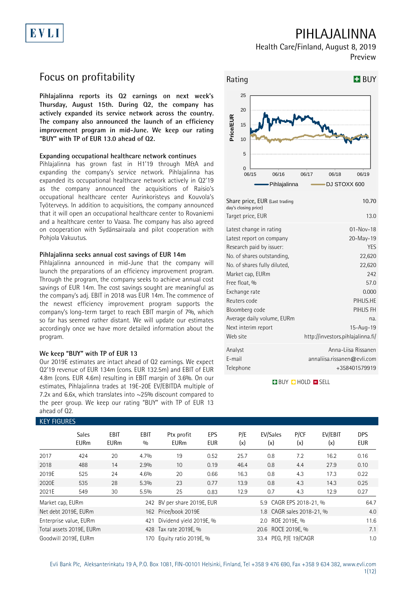# EVLI

## PIHLAJALINNA

Health Care/Finland, August 8, 2019 Preview

## Focus on profitability

**Pihlajalinna reports its Q2 earnings on next week's Thursday, August 15th. During Q2, the company has actively expanded its service network across the country. The company also announced the launch of an efficiency improvement program in mid-June. We keep our rating "BUY" with TP of EUR 13.0 ahead of Q2.** 

### **Expanding occupational healthcare network continues**

Pihlajalinna has grown fast in H1'19 through M&A and expanding the company's service network. Pihlajalinna has expanded its occupational healthcare network actively in Q2'19 as the company announced the acquisitions of Raisio's occupational healthcare center Aurinkoristeys and Kouvola's Työterveys. In addition to acquisitions, the company announced that it will open an occupational healthcare center to Rovaniemi and a healthcare center to Vaasa. The company has also agreed on cooperation with Sydänsairaala and pilot cooperation with Pohjola Vakuutus.

### **Pihlajalinna seeks annual cost savings of EUR 14m**

Pihlajalinna announced in mid-June that the company will launch the preparations of an efficiency improvement program. Through the program, the company seeks to achieve annual cost savings of EUR 14m. The cost savings sought are meaningful as the company's adj. EBIT in 2018 was EUR 14m. The commence of the newest efficiency improvement program supports the company's long-term target to reach EBIT margin of 7%, which so far has seemed rather distant. We will update our estimates accordingly once we have more detailed information about the program.

### **We keep "BUY" with TP of EUR 13**

Our 2019E estimates are intact ahead of Q2 earnings. We expect Q2'19 revenue of EUR 134m (cons. EUR 132.5m) and EBIT of EUR 4.8m (cons. EUR 4.6m) resulting in EBIT margin of 3.6%. On our estimates, Pihlajalinna trades at 19E-20E EV/EBITDA multiple of 7.2x and 6.6x, which translates into ~25% discount compared to the peer group. We keep our rating "BUY" with TP of EUR 13 ahead of Q2.

### KEY FIGURES



| Latest report on company     | 20-May-19                         |
|------------------------------|-----------------------------------|
| Research paid by issuer:     | YES                               |
| No. of shares outstanding,   | 22,620                            |
| No. of shares fully diluted, | 22,620                            |
| Market cap, EURm             | 242                               |
| Free float, %                | 57.0                              |
| Exchange rate                | 0.000                             |
| Reuters code                 | PIHLIS.HE                         |
| Bloomberg code               | PIHLIS FH                         |
| Average daily volume, EURm   | na.                               |
| Next interim report          | $15 - Aug - 19$                   |
| Web site                     | http://investors.pihlajalinna.fi/ |
| Analyst                      | Anna-Liisa Rissanen               |
| E-mail                       | annaliisa.rissanen@evli.com       |
| Telephone                    | +358401579919                     |

**BUY DHOLD SELL** 

| KEY FIGURES      |                             |                     |                    |                             |                   |            |                           |             |                |                          |
|------------------|-----------------------------|---------------------|--------------------|-----------------------------|-------------------|------------|---------------------------|-------------|----------------|--------------------------|
|                  | <b>Sales</b><br><b>EURm</b> | EBIT<br><b>EURm</b> | <b>EBIT</b><br>0/0 | Ptx profit<br><b>EURm</b>   | EPS<br><b>EUR</b> | P/E<br>(x) | EV/Sales<br>(x)           | P/CF<br>(x) | EV/EBIT<br>(x) | <b>DPS</b><br><b>EUR</b> |
| 2017             | 424                         | 20                  | 4.7%               | 19                          | 0.52              | 25.7       | 0.8                       | 7.2         | 16.2           | 0.16                     |
| 2018             | 488                         | 14                  | 2.9%               | 10                          | 0.19              | 46.4       | 0.8                       | 4.4         | 27.9           | 0.10                     |
| 2019E            | 525                         | 24                  | 4.6%               | 20                          | 0.66              | 16.3       | 0.8                       | 4.3         | 17.3           | 0.22                     |
| 2020E            | 535                         | 28                  | 5.3%               | 23                          | 0.77              | 13.9       | 0.8                       | 4.3         | 14.3           | 0.25                     |
| 2021E            | 549                         | 30                  | 5.5%               | 25                          | 0.83              | 12.9       | 0.7                       | 4.3         | 12.9           | 0.27                     |
| Market cap, EURm |                             |                     |                    | 242 BV per share 2019E, EUR |                   |            | 5.9 CAGR EPS 2018-21, %   |             |                | 64.7                     |
|                  | Net debt 2019E, EURm        |                     |                    | 162 Price/book 2019E        |                   |            | 1.8 CAGR sales 2018-21, % |             |                | 4.0                      |
|                  | Enterprise value, EURm      |                     | 421                | Dividend yield 2019E, %     |                   |            | 2.0 ROE 2019E, %          |             |                | 11.6                     |
|                  | Total assets 2019E, EURm    |                     |                    | 428 Tax rate 2019E, %       |                   |            | 20.6 ROCE 2019E, %        |             |                |                          |
|                  | Goodwill 2019E, EURm        |                     | 170                | Equity ratio 2019E, %       |                   |            | 33.4 PEG, P/E 19/CAGR     |             |                | 1.0                      |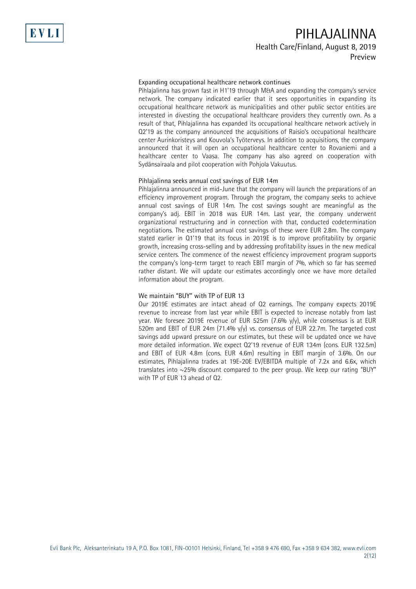# PIHLAJALINNA

## Health Care/Finland, August 8, 2019 Preview

### Expanding occupational healthcare network continues

Pihlajalinna has grown fast in H1'19 through M&A and expanding the company's service network. The company indicated earlier that it sees opportunities in expanding its occupational healthcare network as municipalities and other public sector entities are interested in divesting the occupational healthcare providers they currently own. As a result of that, Pihlajalinna has expanded its occupational healthcare network actively in Q2'19 as the company announced the acquisitions of Raisio's occupational healthcare center Aurinkoristeys and Kouvola's Työterveys. In addition to acquisitions, the company announced that it will open an occupational healthcare center to Rovaniemi and a healthcare center to Vaasa. The company has also agreed on cooperation with Sydänsairaala and pilot cooperation with Pohjola Vakuutus.

### Pihlajalinna seeks annual cost savings of EUR 14m

Pihlajalinna announced in mid-June that the company will launch the preparations of an efficiency improvement program. Through the program, the company seeks to achieve annual cost savings of EUR 14m. The cost savings sought are meaningful as the company's adj. EBIT in 2018 was EUR 14m. Last year, the company underwent organizational restructuring and in connection with that, conducted codetermination negotiations. The estimated annual cost savings of these were EUR 2.8m. The company stated earlier in Q1'19 that its focus in 2019E is to improve profitability by organic growth, increasing cross-selling and by addressing profitability issues in the new medical service centers. The commence of the newest efficiency improvement program supports the company's long-term target to reach EBIT margin of 7%, which so far has seemed rather distant. We will update our estimates accordingly once we have more detailed information about the program.

### We maintain "BUY" with TP of EUR 13

Our 2019E estimates are intact ahead of Q2 earnings. The company expects 2019E revenue to increase from last year while EBIT is expected to increase notably from last year. We foresee 2019E revenue of EUR 525m (7.6% y/y), while consensus is at EUR 520m and EBIT of EUR 24m (71.4% y/y) vs. consensus of EUR 22.7m. The targeted cost savings add upward pressure on our estimates, but these will be updated once we have more detailed information. We expect Q2'19 revenue of EUR 134m (cons. EUR 132.5m) and EBIT of EUR 4.8m (cons. EUR 4.6m) resulting in EBIT margin of 3.6%. On our estimates, Pihlajalinna trades at 19E-20E EV/EBITDA multiple of 7.2x and 6.6x, which translates into ~25% discount compared to the peer group. We keep our rating "BUY" with TP of EUR 13 ahead of Q2.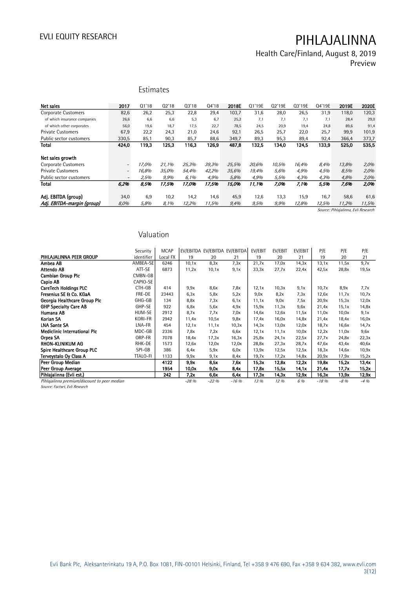Health Care/Finland, August 8, 2019 Preview

## Estimates

| <b>Net sales</b>                                  | 2017                     | Q1'18       | 02'18        | 03'18         | 04'18         | 2018E        | Q1'19E       | Q2'19E       | Q3'19E        | Q4'19E        | 2019E                               | 2020E         |
|---------------------------------------------------|--------------------------|-------------|--------------|---------------|---------------|--------------|--------------|--------------|---------------|---------------|-------------------------------------|---------------|
| <b>Corporate Customers</b>                        | 82,6                     | 26,2        | 25,3         | 22,8          | 29,4          | 103,7        | 31,6         | 28,0         | 26.5          | 31,9          | 118.0                               | 120,3         |
| of which insurance companies                      | 26,6                     | 6.6         | 6.6          | 5,3           | 6.7           | 25,2         | 7,1          | 7,1          | 7.1           | 7.1           | 28.4                                | 29,0          |
| of which other corporates                         | 56,0                     | 19,6        | 18,7         | 17,5          | 22,7          | 78,5         | 24,5         | 20,9         | 19,4          | 24,8          | 89.6                                | 91,4          |
| <b>Private Customers</b>                          | 67,9                     | 22,2        | 24,3         | 21,0          | 24.6          | 92,1         | 26.5         | 25,7         | 22,0          | 25,7          | 99,9                                | 101,9         |
| Public sector customers                           | 330,5                    | 85,1        | 90,3         | 85,7          | 88,6          | 349,7        | 89,3         | 95,3         | 89,4          | 92,4          | 366,4                               | 373,7         |
| <b>Total</b>                                      | 424,0                    | 119,3       | 125,3        | 116,3         | 126,9         | 487,8        | 132,5        | 134,0        | 124,5         | 133,9         | 525,0                               | 535,5         |
| Net sales growth<br><b>Corporate Customers</b>    | $\overline{\phantom{m}}$ | 17.0%       | 21.1%        | 25,3%         | 39,3%         | 25,5%        | 20.6%        | 10,5%        | 16,4%         | 8,4%          | 13,8%                               | 2,0%          |
| <b>Private Customers</b>                          | $\overline{\phantom{a}}$ | 16.8%       | 35,0%        | 54,4%         | 42,2%         | 35,6%        | 19,4%        | 5,6%         | 4,9%          | 4,5%          | 8,5%                                | 2,0%          |
| Public sector customers                           | $\overline{\phantom{a}}$ | 2,5%        | 9,9%         | 6,1%          | 4,9%          | 5,8%         | 4,9%         | 5,5%         | 4,3%          | 4,3%          | 4,8%                                | 2,0%          |
| <b>Total</b>                                      | 6,2%                     | 8,5%        | 17,5%        | 17,0%         | 17,5%         | 15,0%        | 11,1%        | 7,0%         | 7,1%          | 5,5%          | 7,6%                                | 2,0%          |
| Adi. EBITDA (group)<br>Adj. EBITDA-margin (group) | 34,0<br>8,0%             | 6,9<br>5,8% | 10,2<br>8,1% | 14,2<br>12,2% | 14,6<br>11,5% | 45,9<br>9,4% | 12,6<br>9,5% | 13,3<br>9,9% | 15,9<br>12,8% | 16,7<br>12,5% | 58,6<br>11,2%                       | 61,6<br>11,5% |
|                                                   |                          |             |              |               |               |              |              |              |               |               | Source: Pihlajalinna, Evli Research |               |

## Valuation

|                                              | Security        | <b>MCAP</b> |        | EV/EBITDA EV/EBITDA EV/EBITDA |        | EV/EBIT | EV/EBIT | EV/EBIT | P/E    | P/E    | P/E   |
|----------------------------------------------|-----------------|-------------|--------|-------------------------------|--------|---------|---------|---------|--------|--------|-------|
| PIHLAJALINNA PEER GROUP                      | identifier      | Local FX    | 19     | 20                            | 21     | 19      | 20      | 21      | 19     | 20     | 21    |
| Ambea AB                                     | AMBEA-SE        | 6246        | 10,1x  | 8.3x                          | 7.3x   | 21,7x   | 17,0x   | 14,3x   | 13,1x  | 11,5x  | 9,7x  |
| <b>Attendo AB</b>                            | ATT-SE          | 6873        | 11,2x  | 10,1x                         | 9.1x   | 33,3x   | 27.7x   | 22.4x   | 42,5x  | 28,8x  | 19,5x |
| <b>Cambian Group Plc</b>                     | CMBN-GB         |             |        |                               |        |         |         |         |        |        |       |
| Capio AB                                     | CAPIO-SE        |             |        |                               |        |         |         |         |        |        |       |
| <b>CareTech Holdings PLC</b>                 | CTH-GB          | 414         | 9.9x   | 8,6x                          | 7,8x   | 12,1x   | 10,3x   | 9.1x    | 10,7x  | 8.9x   | 7.7x  |
| Fresenius SE & Co. KGaA                      | FRE-DE          | 23443       | 6,3x   | 5.8x                          | 5.2x   | 9.0x    | 8.2x    | 7.3x    | 12,6x  | 11,7x  | 10,7x |
| Georgia Healthcare Group Plc                 | GHG-GB          | 134         | 8,8x   | 7.3x                          | 6.1x   | 11,1x   | 9,0x    | 7,5x    | 20.9x  | 15,3x  | 12,0x |
| <b>GHP Specialty Care AB</b>                 | GHP-SE          | 922         | 6,8x   | 5.6x                          | 4.9x   | 15,9x   | 11,3x   | 9.6x    | 21,4x  | 15.1x  | 14,8x |
| Humana AB                                    | HUM-SE          | 2912        | 8.7x   | 7.7x                          | 7.0x   | 14,6x   | 12,6x   | 11,5x   | 11,0x  | 10,0x  | 9,1x  |
| Korian SA                                    | KORI-FR         | 2942        | 11,4x  | 10,5x                         | 9,8x   | 17,4x   | 16,0x   | 14,8x   | 21,4x  | 18,4x  | 16,0x |
| <b>LNA Sante SA</b>                          | LNA-FR          | 454         | 12,1x  | 11,1x                         | 10,3x  | 14,3x   | 13,0x   | 12,0x   | 18.7x  | 16,6x  | 14,7x |
| <b>Mediclinic International Plc</b>          | MDC-GB          | 2336        | 7.8x   | 7,2x                          | 6,6x   | 12,1x   | 11,1x   | 10,0x   | 12,2x  | 11,0x  | 9,6x  |
| Orpea SA                                     | ORP-FR          | 7078        | 18,4x  | 17,3x                         | 16,3x  | 25,8x   | 24.1x   | 22,5x   | 27.7x  | 24,8x  | 22,3x |
| <b>RHON-KLINIKUM AG</b>                      | RHK-DE          | 1573        | 12,6x  | 12,0x                         | 12,0x  | 28,8x   | 27,3x   | 28,7x   | 47,6x  | 43,4x  | 40,6x |
| Spire Healthcare Group PLC                   | SPI-GB          | 386         | 6.4x   | 5,9x                          | 6,0x   | 13,9x   | 12,5x   | 12,5x   | 18,3x  | 14,6x  | 10,9x |
| Terveystalo Oy Class A                       | <b>TTALO-FI</b> | 1133        | 9.9x   | 9,1x                          | 8,4x   | 19,7x   | 17.2x   | 14,8x   | 20.9x  | 17.9x  | 15,2x |
| Peer Group Median                            |                 | 4122        | 9.9x   | 8,5x                          | 7.6x   | 15.3x   | 12.8x   | 12,2x   | 19,8x  | 15.2x  | 13.4x |
| Peer Group Average                           |                 | 1954        | 10.0x  | 9.0x                          | 8,4x   | 17.8x   | 15.5x   | 14.1x   | 21,4x  | 17,7x  | 15.2x |
| Pihlajalinna (Evli est.)                     |                 | 242         | 7.2x   | 6,6x                          | 6.4x   | 17.3x   | 14.3x   | 12,9x   | 16,3x  | 13.9x  | 12,9x |
| Pihlajalinna premium/discount to peer median |                 |             | $-28%$ | $-22%$                        | $-16%$ | 13 %    | $12\%$  | 6 %     | $-18%$ | $-8\%$ | $-4%$ |

Source: Factset, Evli Research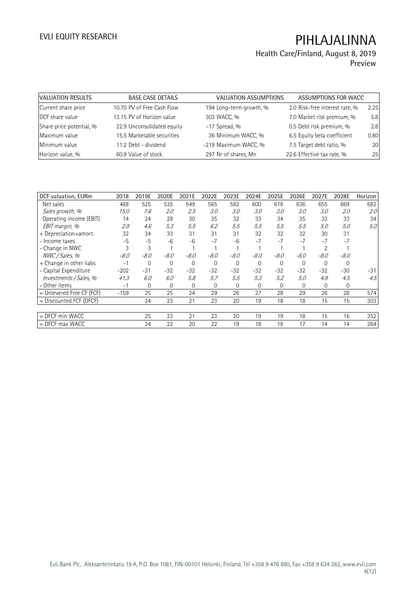# Health Care/Finland, August 8, 2019

Preview

| VALUATION RESULTS        | <b>BASE CASE DETAILS</b>   | <b>VALUATION ASSUMPTIONS</b> | ASSUMPTIONS FOR WACC           |      |
|--------------------------|----------------------------|------------------------------|--------------------------------|------|
| Current share price      | 10.70 PV of Free Cash Flow | 194 Long-term growth, %      | 2.0 Risk-free interest rate, % | 2.25 |
| DCF share value          | 13.15 PV of Horizon value  | 303 WACC, %                  | 7.0 Market risk premium, %     | 5.8  |
| Share price potential, % | 22.9 Unconsolidated equity | $-17$ Spread, %              | 0.5 Debt risk premium, %       | 2.8  |
| Maximum value            | 15.5 Marketable securities | 36 Minimum WACC, %           | 6.5 Equity beta coefficient    | 0.80 |
| Minimum value            | 11.2 Debt - dividend       | -219 Maximum WACC, %         | 7.5 Target debt ratio, %       | 20   |
| Horizon value, %         | 60.9 Value of stock        | 297 Nr of shares, Mn         | 22.6 Effective tax rate, %     | 25   |

| DCF valuation, EURm         | 2018   | 2019E        | 2020E    | 2021E    | 2022E    | 2023E    | 2024E        | 2025E       | 2026E    | 2027E    | 2028E    | Horizon |
|-----------------------------|--------|--------------|----------|----------|----------|----------|--------------|-------------|----------|----------|----------|---------|
| Net sales                   | 488    | 525          | 535      | 549      | 565      | 582      | 600          | 618         | 636      | 655      | 669      | 682     |
| Sales growth, %             | 15.0   | 7.6          | 2.0      | 2.5      | 3.0      | 3.0      | 3.0          | 3.0         | 3.0      | 3.0      | 2.0      | 2.0     |
| Operating income (EBIT)     | 14     | 24           | 28       | 30       | 35       | 32       | 33           | 34          | 35       | 33       | 33       | 34      |
| EBIT margin, %              | 2.9    | 4.6          | 5.3      | 5.5      | 6.2      | 5.5      | 5.5          | 5.5         | 5.5      | 5.0      | 5.0      | 5.0     |
| + Depreciation+amort.       | 32     | 34           | 33       | 31       | 31       | 31       | 32           | 32          | 32       | 30       | 31       |         |
| - Income taxes              | $-5$   | $-5$         | $-6$     | $-6$     | $-7$     | -6       | $-7$         | $-7$        | $-7$     | $-7$     | $-7$     |         |
| - Change in NWC             | 3      | 3            |          |          |          |          |              |             |          |          |          |         |
| NWC / Sales, %              | $-8.0$ | $-8.0$       | -8.0     | $-8.0$   | $-8.0$   | $-8.0$   | $-8.0$       | $-8.0$      | $-8.0$   | $-8.0$   | $-8.0$   |         |
| + Change in other liabs     | $-1$   | $\mathbf 0$  | $\Omega$ | $\Omega$ | $\Omega$ | $\Omega$ | $\mathbf{0}$ | $\mathbf 0$ | $\Omega$ | $\Omega$ | $\Omega$ |         |
| - Capital Expenditure       | $-202$ | $-31$        | $-32$    | $-32$    | $-32$    | $-32$    | $-32$        | $-32$       | $-32$    | $-32$    | $-30$    | $-31$   |
| Investments / Sales, %      | 41.3   | 6.0          | 6.0      | 5.8      | 5.7      | 5.5      | 5.3          | 5.2         | 5.0      | 4.9      | 4.5      | 4.5     |
| - Other items               | $-1$   | $\mathbf{0}$ | $\Omega$ | 0        | $\Omega$ | $\Omega$ | 0            | $\Omega$    | $\Omega$ | $\Omega$ | 0        |         |
| $=$ Unlevered Free CF (FCF) | $-159$ | 25           | 25       | 24       | 29       | 26       | 27           | 28          | 29       | 26       | 28       | 574     |
| $=$ Discounted FCF (DFCF)   |        | 24           | 23       | 21       | 23       | 20       | 19           | 18          | 18       | 15       | 15       | 303     |
|                             |        |              |          |          |          |          |              |             |          |          |          |         |
| $=$ DFCF min WACC           |        | 25           | 23       | 21       | 23       | 20       | 19           | 19          | 18       | 15       | 16       | 352     |
| $=$ DFCF max WACC           |        | 24           | 22       | 20       | 22       | 19       | 18           | 18          | 17       | 14       | 14       | 264     |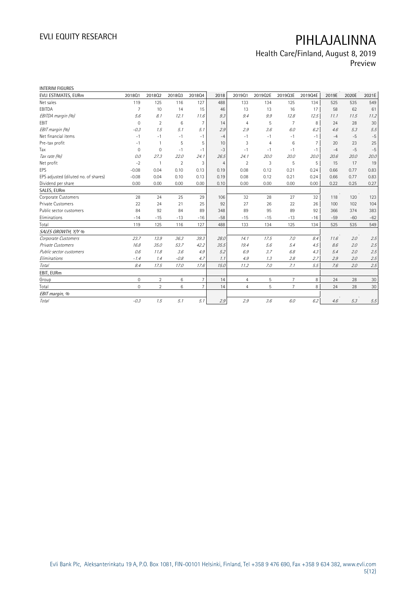# Health Care/Finland, August 8, 2019

Preview

| <b>INTERIM FIGURES</b>               |                |                |                |                |                |                |                |                |         |       |       |       |
|--------------------------------------|----------------|----------------|----------------|----------------|----------------|----------------|----------------|----------------|---------|-------|-------|-------|
| EVLI ESTIMATES, EURm                 | 201801         | 201802         | 201803         | 201804         | 2018           | 2019Q1         | 2019Q2E        | 2019Q3E        | 2019Q4E | 2019E | 2020E | 2021E |
| Net sales                            | 119            | 125            | 116            | 127            | 488            | 133            | 134            | 125            | 134     | 525   | 535   | 549   |
| EBITDA                               | $\overline{7}$ | 10             | 14             | 15             | 46             | 13             | 13             | 16             | 17      | 58    | 62    | 61    |
| EBITDA margin (%)                    | 5.6            | 8.1            | 12.1           | 11.6           | 9.3            | 9.4            | 9.9            | 12.8           | 12.5    | 11.1  | 11.5  | 11.2  |
| EBIT                                 | $\mathbf{0}$   | $\overline{2}$ | 6              | $\overline{7}$ | 14             | $\overline{4}$ | 5              | 7              | 8       | 24    | 28    | 30    |
| EBIT margin (%)                      | $-0.3$         | 7.5            | 5.1            | 5.1            | 2.9            | 2.9            | 3.6            | 6.0            | 6.2     | 4.6   | 5.3   | 5.5   |
| Net financial items                  | $-1$           | $-1$           | $-1$           | $-1$           | $-4$           | $-1$           | $-1$           | $-1$           | $-1$    | $-4$  | $-5$  | $-5$  |
| Pre-tax profit                       | $-1$           | 1              | 5              | 5              | 10             | 3              | $\overline{4}$ | 6              | 7       | 20    | 23    | 25    |
| Tax                                  | $\mathbf{0}$   | $\mathbf 0$    | $-1$           | $-1$           | $-3$           | $-1$           | $-1$           | $-1$           | $-1$    | $-4$  | $-5$  | $-5$  |
| Tax rate (%)                         | 0.0            | 27.3           | 22.0           | 24.1           | 26.5           | 24.1           | 20.0           | 20.0           | 20.0    | 20.6  | 20.0  | 20.0  |
| Net profit                           | $-2$           | $\mathbf{1}$   | $\overline{2}$ | 3              | $\overline{4}$ | $\overline{2}$ | 3              | 5              | 5       | 15    | 17    | 19    |
| EPS                                  | $-0.08$        | 0.04           | 0.10           | 0.13           | 0.19           | 0.08           | 0.12           | 0.21           | 0.24    | 0.66  | 0.77  | 0.83  |
| EPS adjusted (diluted no. of shares) | $-0.08$        | 0.04           | 0.10           | 0.13           | 0.19           | 0.08           | 0.12           | 0.21           | 0.24    | 0.66  | 0.77  | 0.83  |
| Dividend per share                   | 0.00           | 0.00           | 0.00           | 0.00           | 0.10           | 0.00           | 0.00           | 0.00           | 0.00    | 0.22  | 0.25  | 0.27  |
| SALES, EURm                          |                |                |                |                |                |                |                |                |         |       |       |       |
| Corporate Customers                  | 28             | 24             | 25             | 29             | 106            | 32             | 28             | 27             | 32      | 118   | 120   | 123   |
| <b>Private Customers</b>             | 22             | 24             | 21             | 25             | 92             | 27             | 26             | 22             | 26      | 100   | 102   | 104   |
| Public sector customers              | 84             | 92             | 84             | 89             | 348            | 89             | 95             | 89             | 92      | 366   | 374   | 383   |
| Eliminations                         | $-14$          | $-15$          | $-13$          | $-16$          | $-58$          | $-15$          | $-15$          | $-13$          | $-16$   | $-59$ | $-60$ | $-62$ |
| Total                                | 119            | 125            | 116            | 127            | 488            | 133            | 134            | 125            | 134     | 525   | 535   | 549   |
| SALES GROWTH, Y/Y %                  |                |                |                |                |                |                |                |                |         |       |       |       |
| Corporate Customers                  | 23.7           | 13.9           | 36.3           | 39.3           | 28.0           | 14.1           | 17.5           | 7.0            | 8.4     | 11.6  | 2.0   | 2.5   |
| Private Customers                    | 16.8           | 35.0           | 53.7           | 42.2           | 35.5           | 19.4           | 5.6            | 5.4            | 4.5     | 8.6   | 2.0   | 2.5   |
| Public sector customers              | 0.6            | 11.8           | 3.6            | 4.9            | 5.2            | 6.9            | 3.7            | 6.8            | 4.3     | 5.4   | 2.0   | 2.5   |
| Eliminations                         | $-1.4$         | 1.4            | $-0.8$         | 4.7            | 1.1            | 4.9            | 1.3            | 2.8            | 2.7     | 2.9   | 2.0   | 2.5   |
| Total                                | 8.4            | 17.5           | 17.0           | 17.6           | 15.0           | 11.2           | 7.0            | 7.1            | 5.5     | 7.6   | 2.0   | 2.5   |
| EBIT, EURm                           |                |                |                |                |                |                |                |                |         |       |       |       |
| Group                                | $\mathbf 0$    | $\overline{2}$ | 6              | $\overline{7}$ | 14             | $\overline{4}$ | 5              | $\overline{7}$ | 8       | 24    | 28    | 30    |
| Total                                | $\Omega$       | $\overline{2}$ | 6              | $\overline{7}$ | 14             | $\overline{4}$ | 5              | $\overline{7}$ | 8       | 24    | 28    | 30    |
| EBIT margin, %                       |                |                |                |                |                |                |                |                |         |       |       |       |
| Total                                | $-0.3$         | 1.5            | 5.1            | 5.1            | 2.9            | 2.9            | 3.6            | 6.0            | 6.2     | 4.6   | 5.3   | 5.5   |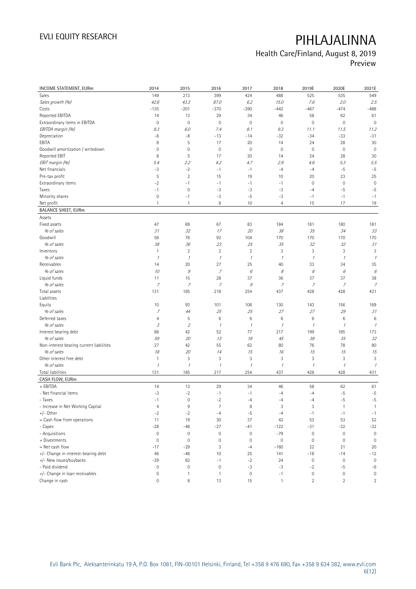## Health Care/Finland, August 8, 2019

Preview

| INCOME STATEMENT, EURm                   | 2014                       | 2015           | 2016                | 2017                | 2018                | 2019E                      | 2020E                     | 2021E               |
|------------------------------------------|----------------------------|----------------|---------------------|---------------------|---------------------|----------------------------|---------------------------|---------------------|
| <b>Sales</b>                             | 149                        | 213            | 399                 | 424                 | 488                 | 525                        | 535                       | 549                 |
| Sales growth (%)                         | 42.6                       | 43.3           | 87.0                | 6.2                 | 15.0                | 7.6                        | 2.0                       | 2.5                 |
| Costs                                    | $-135$                     | $-201$         | $-370$              | $-390$              | $-442$              | $-467$                     | $-474$                    | $-488$              |
| Reported EBITDA                          | 14                         | 13             | 29                  | 34                  | 46                  | 58                         | 62                        | 61                  |
| Extraordinary items in EBITDA            | $\mathbf 0$                | $\mathbf 0$    | $\mathbb O$         | $\mathsf{O}\xspace$ | $\mathbb O$         | $\mathbf 0$                | $\mathbf 0$               | $\mathbf{0}$        |
| EBITDA margin (%)                        | 9.3                        | 6.0            | 7.4                 | 8.1                 | 9.3                 | 11.1                       | 11.5                      | 11.2                |
| Depreciation                             | $-6$                       | -8             | $-13$               | $-14$               | $-32$               | $-34$                      | $-33$                     | $-31$               |
| EBITA                                    | 8                          | 5              | 17                  | 20                  | 14                  | 24                         | 28                        | 30                  |
| Goodwill amortization / writedown        | $\mathsf{O}\xspace$        | $\mathbf 0$    | $\mathbf 0$         | $\mathbf 0$         | $\mathbf 0$         | $\mathbf 0$                | $\mathbf 0$               | $\mathbf 0$         |
| Reported EBIT                            | 8                          | 5              | 17                  | 20                  | 14                  | 24                         | 28                        | 30                  |
| EBIT margin (%)                          | 5.4                        | 2.2            | 4.2                 | 4.7                 | 2.9                 | 4.6                        | 5.3                       | 5.5                 |
| Net financials                           | $-3$                       | $-2$           | $-1$                | $-1$                | $-4$                | $-4$                       | $-5$                      | $-5$                |
| Pre-tax profit                           | 5                          | $\overline{2}$ | 15                  | 19                  | 10                  | 20                         | 23                        | 25                  |
| Extraordinary items                      | $-2$                       | $-1$           | $-1$                | $-1$                | $-1$                | $\mathbf 0$                | $\mathbf 0$               | $\mathbf 0$         |
| Taxes                                    | $-1$                       | $\mathbf 0$    | $-3$                | $-3$                | $-3$                | $-4$                       | $-5$                      | $-5$                |
| Minority shares                          | $\mathbf 0$                | $-1$           | $-3$                | $-5$                | $-3$                | $-1$                       | $-1$                      | $-1$                |
| Net profit                               | $\mathbf{1}$               | $\mathbf{1}$   | 8                   | 10                  | $\overline{4}$      | 15                         | 17                        | 19                  |
| <b>BALANCE SHEET, EURm</b>               |                            |                |                     |                     |                     |                            |                           |                     |
| Assets                                   |                            |                |                     |                     |                     |                            |                           |                     |
| Fixed assets                             | 47                         | 69             | 67                  | 83                  | 184                 | 181                        | 180                       | 181                 |
| % of sales                               | 31                         | 32             | 17                  | 20                  | 38                  | 35                         | 34                        | 33                  |
| Goodwill                                 | 56                         | 76             | 92                  | 104                 | 170                 | 170                        | 170                       | 170                 |
| % of sales                               | 38                         | 36             | 23                  | 25                  | 35                  | $32\,$                     | 32                        | 31                  |
| Inventory                                | $\mathbf{1}$               | $\overline{2}$ | $\overline{2}$      | $\sqrt{2}$          | 3                   | 3                          | $\ensuremath{\mathsf{3}}$ | 3                   |
| % of sales                               | $\mathcal I$               | $\mathcal I$   | $\mathcal I$        | $\mathcal I$        | $\mathcal I$        | $\mathcal I$               | $\mathcal I$              |                     |
| Receivables                              | 14                         | 20             | 27                  | 25                  | 40                  | 33                         | 34                        | 35                  |
| % of sales                               | 10                         | $\mathcal G$   | $\overline{7}$      | 6                   | 8                   | $\boldsymbol{\mathcal{E}}$ | $\epsilon$                | 6                   |
| Liquid funds                             | 11                         | 15             | 28                  | 37                  | 36                  | 37                         | 37                        | 38                  |
| % of sales                               | $\overline{z}$             | $\overline{z}$ | $\overline{z}$      | 9                   | $\overline{z}$      | $\overline{z}$             | 7                         | $\overline{z}$      |
| Total assets                             | 131                        | 185            | 218                 | 254                 | 437                 | 428                        | 428                       | 431                 |
| Liabilities                              |                            |                |                     |                     |                     |                            |                           |                     |
| Equity                                   | 10                         | 93             | 101                 | 106                 | 130                 | 143                        | 156                       | 169                 |
| % of sales                               | $\overline{z}$             | 44             | 25                  | 25                  | 27                  | 27                         | 29                        | 31                  |
| Deferred taxes                           | $\overline{4}$             | 5              | 6                   | 6                   | 6                   | $6\,$                      | 6                         | 6                   |
| % of sales                               | $\ensuremath{\mathcal{S}}$ | $\mathfrak z$  | $\mathcal I$        | $\mathcal I$        | $\mathcal{I}$       | $\mathcal I$               | $\mathcal I$              |                     |
| Interest bearing debt                    | 88                         | 42             | 52                  | 77                  | 217                 | 199                        | 185                       | 173                 |
| % of sales                               | 59                         | 20             | 13                  | 18                  | 45                  | 38                         | 35                        | 32                  |
| Non-interest bearing current liabilities | 27                         | 42             | 55                  | 62                  | 80                  | 76                         | 78                        | 80                  |
| % of sales                               | 18                         | 20             | 14                  | 15                  | 16                  | 15                         | 15                        | 15                  |
| Other interest free debt                 | $\mathbf{1}$               | 3              | 3                   | 3                   | 3                   | 3                          | $\ensuremath{\mathsf{3}}$ | 3                   |
| % of sales                               | $\mathcal{I}$              | $\mathcal{I}$  | $\mathcal I$        | $\mathcal I$        | $\mathcal I$        | $\mathcal I$               | $\mathcal I$              | $\mathcal{I}$       |
| Total liabilities                        | 131                        | 185            | 217                 | 254                 | 437                 | 428                        | 428                       | 431                 |
| CASH FLOW, EURm                          |                            |                |                     |                     |                     |                            |                           |                     |
| + EBITDA                                 | 14                         | 13             | 29                  | 34                  | 46                  | 58                         | 62                        | 61                  |
| - Net financial items                    | $-3$                       | $-2$           | $-1$                | $-1$                | $-4$                | $-4$                       | $-5$                      | $-5$                |
| - Taxes                                  | $-1$                       | 0              | $-2$                | $-4$                | $-4$                | $-4$                       | -5                        | $-5$                |
| - Increase in Net Working Capital        | 4                          | $\,9$          | $\overline{7}$      | 8                   | 3                   | 3                          | $\mathbf{1}$              | $\mathbf{1}$        |
| $+/-$ Other                              | $-2$                       | $-2$           | $-4$                | $-5$                | $-4$                | $-1$                       | $-1$                      | $-1$                |
| $=$ Cash flow from operations            | 11                         | 19             | 30                  | 37                  | 42                  | 53                         | 53                        | 52                  |
| - Capex                                  | $-28$                      | $-48$          | $-27$               | $-41$               | $-122$              | $-31$                      | $-32$                     | $-32$               |
| - Acquisitions                           | $\mathbb O$                | $\mathbb O$    | $\mathsf{O}\xspace$ | $\mathbb O$         | $-79$               | $\mathbb O$                | $\mathsf{O}\xspace$       | $\mathbf 0$         |
| + Divestments                            | $\mathbf 0$                | $\mathbf 0$    | $\mathsf{O}\xspace$ | $\mathbf 0$         | $\mathsf{O}\xspace$ | $\mathsf{O}\xspace$        | $\mathbf 0$               | $\mathbf 0$         |
| = Net cash flow                          | $-17$                      | $-29$          | 3                   | $-4$                | $-160$              | 22                         | 21                        | 20                  |
| +/- Change in interest-bearing debt      | 46                         | $-46$          | 10                  | 25                  | 141                 | $-18$                      | $-14$                     | $-12$               |
| +/- New issues/buybacks                  | $-29$                      | 82             | $-1$                | $^{\rm -2}$         | 24                  | $\mathsf{O}\xspace$        | $\mathsf{O}\xspace$       | $\mathbf 0$         |
| - Paid dividend                          | $\mathsf{O}\xspace$        | $\mathbf 0$    | $\mathbb O$         |                     | $-3$                | $-2$                       |                           |                     |
| +/- Change in loan receivables           | $\mathsf{O}\xspace$        | $\mathbf{1}$   | $\mathbf{1}$        | $-3$<br>$\mathbb O$ | $-1$                | $\mathsf{O}\xspace$        | -5<br>$\mathsf{O}\xspace$ | $-6$<br>$\mathbf 0$ |
|                                          | 0                          | 8              |                     |                     |                     | $\overline{2}$             | $\overline{2}$            |                     |
| Change in cash                           |                            |                | 13                  | 15                  | $\mathbf{1}$        |                            |                           | $\overline{2}$      |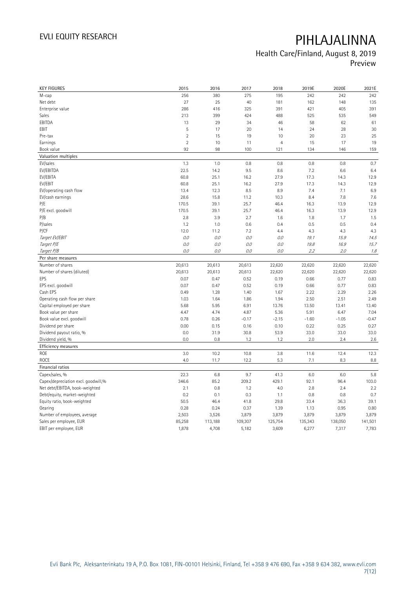## Health Care/Finland, August 8, 2019 Preview

KEY FIGURES 2015 2016 2017 2018 2019E 2020E 2021E M-cap 242 242 242 242 256 380 275 195 242 242 242 Net debt 27 25 40 181 162 148 135 Enterprise value 286 416 325 391 421 405 391 Sales 213 399 424 488 525 535 549 EBITDA 13 29 34 46 58 62 61 EBIT 5 17 20 14 24 28 30 Pre-tax 2 15 19 10 20 23 25 Earnings 2 10 11 4 15 17 19 Book value 92 98 100 121 134 146 159 Valuation multiples EV/sales 1.3 1.0 0.8 0.8 0.8 0.8 0.7 EV/EBITDA 22.5 14.2 9.5 8.6 7.2 6.6 6.4 EV/EBITA 60.8 25.1 16.2 27.9 17.3 14.3 12.9 EV/EBIT 60.8 25.1 16.2 27.9 17.3 14.3 12.9 EV/operating cash flow 13.4 12.3 8.5 8.9 7.4 7.1 6.9 EV/cash earnings 28.6 15.8 11.2 10.3 8.4 7.8 7.6 P/E 170.5 39.1 25.7 46.4 16.3 13.9 12.9 P/E excl. goodwill 170.5 39.1 25.7 46.4 16.3 13.9 12.9 P/B 2.8 3.9 2.7 1.6 1.8 1.7 1.5 P/sales 1.2 1.0 0.6 0.4 0.5 0.5 0.4 P/CF 12.0 11.2 7.2 4.4 4.3 4.3 4.3 Target EV/EBIT 0.0 0.0 0.0 0.0 19.1 15.9 14.5 Target P/E 0.0 0.0 0.0 0.0 19.8 16.9 15.7 Target P/B 0.0 0.0 0.0 0.0 2.2 2.0 1.8 Per share measures Number of shares 20,613 20,613 20,613 22,620 22,620 22,620 22,620 Number of shares (diluted) <br>
20,613 20,613 20,613 20,613 22,620 22,620 22,620 22,620 22,620 22,620 22,620 22,620 22,620 22,620 22,620 22,620 22,620 22,620 22,620 22,620 22,620 22,620 20,83 EPS 0.07 0.47 0.52 0.19 0.66 0.77 0.83 EPS excl. goodwill 0.07 0.47 0.52 0.19 0.66 0.77 0.83 Cash EPS 0.49 1.28 1.40 1.67 2.22 2.29 2.26 Operating cash flow per share 1.03 1.64 1.86 1.94 2.50 2.51 2.49 Capital employed per share 6.48 5.68 5.95 5.95 6.91 13.76 13.50 13.41 13.40 Book value per share 6.47 5.36 5.91 6.47 4.87 6.47 7.04 Book value excl. goodwill **1.1.05** -0.47 0.78 0.26 -0.17 -2.15 -1.60 -1.05 -0.47 Dividend per share 0.00 0.15 0.16 0.10 0.22 0.25 0.27 Dividend payout ratio, % 0.0 31.9 30.8 53.9 33.0 33.0 33.0 Dividend yield, % 0.0 0.8 1.2 1.2 2.0 2.4 2.6 Efficiency measures ROE 3.0 10.2 10.8 3.8 11.6 12.4 12.3 ROCE 2001 2.0 1.0 1.7 1.7 1.2.2 5.3 7.1 8.3 8.8 Financial ratios Capex/sales, % 22.3 6.8 9.7 41.3 6.0 6.0 5.8 Capex/depreciation excl. goodwill,% 346.6 85.2 209.2 429.1 92.1 96.4 103.0 Net debt/EBITDA, book-weighted 2.1 0.8 1.2 4.0 2.8 2.4 2.2 Debt/equity, market-weighted 0.2 0.1 0.3 1.1 0.8 0.8 0.7 Equity ratio, book-weighted 50.5 46.4 41.8 29.8 33.4 36.3 39.1 Gearing 0.28 0.24 0.37 1.39 1.13 0.95 0.80 Number of employees, average 2,503 3,526 3,879 3,879 3,879 3,879 3,879 3,879 3,879 3,879 3,879 3,879 3,879 3,879 3,879 3,879 3,879 3,879 3,879 3,879 3,879 3,879 3,879 3,879 3,879 3,879 3,879 3,879 3,879 3,879 3,879 3,879 3 Sales per employee, EUR 85,258 113,188 109,307 125,754 135,343 138,050 141,501 EBIT per employee, EUR 1,878 4,708 5,182 3,609 6,277 7,317 7,783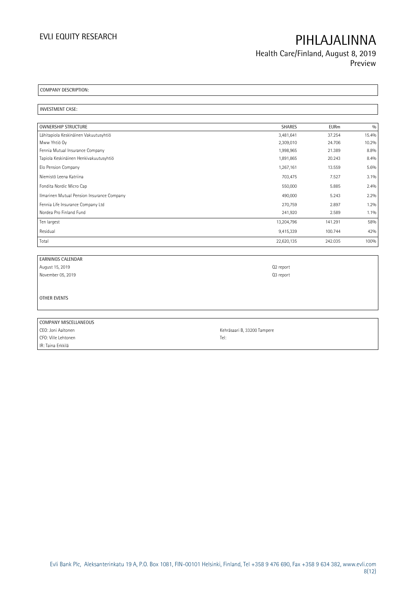Health Care/Finland, August 8, 2019 Preview

COMPANY DESCRIPTION:

INVESTMENT CASE:

| <b>OWNERSHIP STRUCTURE</b>                 | <b>SHARES</b> | <b>EURm</b> | 0/0   |
|--------------------------------------------|---------------|-------------|-------|
| Lähitapiola Keskinäinen Vakuutusyhtiö      | 3,481,641     | 37.254      | 15.4% |
| Mww Yhtiö Oy                               | 2,309,010     | 24.706      | 10.2% |
| Fennia Mutual Insurance Company            | 1,998,965     | 21.389      | 8.8%  |
| Tapiola Keskinäinen Henkivakuutusyhtiö     | 1,891,865     | 20.243      | 8.4%  |
| Elo Pension Company                        | 1,267,161     | 13.559      | 5.6%  |
| Niemistö Leena Katriina                    | 703,475       | 7.527       | 3.1%  |
| Fondita Nordic Micro Cap                   | 550,000       | 5.885       | 2.4%  |
| Ilmarinen Mutual Pension Insurance Company | 490,000       | 5.243       | 2.2%  |
| Fennia Life Insurance Company Ltd          | 270,759       | 2.897       | 1.2%  |
| Nordea Pro Finland Fund                    | 241,920       | 2.589       | 1.1%  |
| Ten largest                                | 13,204,796    | 141.291     | 58%   |
| Residual                                   | 9,415,339     | 100.744     | 42%   |
| Total                                      | 22,620,135    | 242.035     | 100%  |

| <b>EARNINGS CALENDAR</b> |                             |
|--------------------------|-----------------------------|
| August 15, 2019          | Q <sub>2</sub> report       |
| November 05, 2019        | Q3 report                   |
|                          |                             |
|                          |                             |
| OTHER EVENTS             |                             |
|                          |                             |
|                          |                             |
| COMPANY MISCELLANEOUS    |                             |
| CEO: Joni Aaltonen       | Kehräsaari B, 33200 Tampere |

CFO: Ville Lehtonen Tel: IR: Taina Erkkilä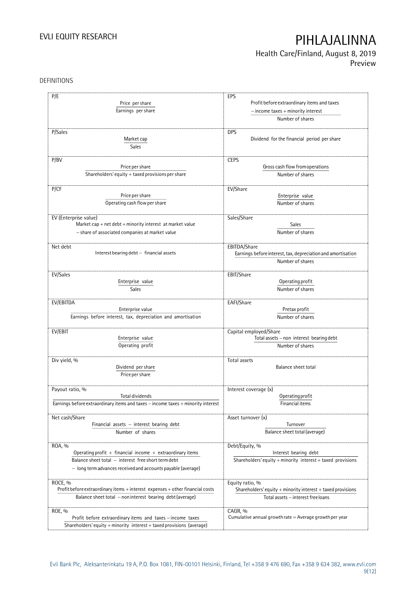## Health Care/Finland, August 8, 2019 Preview

## DEFINITIONS

| P/E<br>Price per share<br>Earnings per share                                                                         | EPS<br>Profit before extraordinary items and taxes<br>$-$ income taxes $+$ minority interest |
|----------------------------------------------------------------------------------------------------------------------|----------------------------------------------------------------------------------------------|
|                                                                                                                      | Number of shares                                                                             |
| P/Sales<br>Market cap<br>Sales                                                                                       | <b>DPS</b><br>Dividend for the financial period per share                                    |
| P/BV                                                                                                                 | <b>CEPS</b>                                                                                  |
| Price per share                                                                                                      | Gross cash flow from operations                                                              |
| Shareholders' equity + taxed provisions per share                                                                    | Number of shares                                                                             |
|                                                                                                                      |                                                                                              |
| P/CF                                                                                                                 | EV/Share                                                                                     |
| Price per share                                                                                                      | Enterprise value                                                                             |
| Operating cash flow per share                                                                                        | Number of shares                                                                             |
| EV (Enterprise value)                                                                                                | Sales/Share                                                                                  |
| Market cap + net $debt$ + minority interest at market value                                                          | Sales                                                                                        |
| - share of associated companies at market value                                                                      | Number of shares                                                                             |
| Net debt                                                                                                             | EBITDA/Share                                                                                 |
| Interest bearing debt - financial assets                                                                             | Earnings before interest, tax, depreciation and amortisation                                 |
|                                                                                                                      | Number of shares                                                                             |
| EV/Sales                                                                                                             | EBIT/Share                                                                                   |
| Enterprise value                                                                                                     | Operating profit                                                                             |
| Sales                                                                                                                | Number of shares                                                                             |
| EV/EBITDA                                                                                                            | EAFI/Share                                                                                   |
| Enterprise value                                                                                                     | Pretax profit                                                                                |
| Earnings before interest, tax, depreciation and amortisation                                                         | Number of shares                                                                             |
| EV/EBIT                                                                                                              | Capital employed/Share                                                                       |
| Enterprise value                                                                                                     | Total assets - non interest bearing debt                                                     |
| Operating profit                                                                                                     | Number of shares                                                                             |
| Div yield, %                                                                                                         | Total assets                                                                                 |
| Dividend per share                                                                                                   | <b>Balance sheet total</b>                                                                   |
| Price per share                                                                                                      |                                                                                              |
| Payout ratio, %                                                                                                      | Interest coverage (x)                                                                        |
| Total dividends                                                                                                      | Operating profit                                                                             |
| Earnings before extraordinary items and taxes - income taxes + minority interest                                     | Financial items                                                                              |
| Net cash/Share                                                                                                       | Asset turnover (x)                                                                           |
| Financial assets $-$ interest bearing debt                                                                           | Turnover                                                                                     |
| Number of shares                                                                                                     | Balance sheet total (average)                                                                |
|                                                                                                                      |                                                                                              |
| ROA, %                                                                                                               | Debt/Equity, %                                                                               |
| Operating profit $+$ financial income $+$ extraordinary items<br>Balance sheet total - interest free short term debt | Interest bearing debt<br>Shareholders' equity + minority interest + taxed provisions         |
| - long term advances received and accounts payable (average)                                                         |                                                                                              |
|                                                                                                                      |                                                                                              |
| ROCE, %                                                                                                              | Equity ratio, %                                                                              |
| Profit before extraordinary items + interest expenses + other financial costs                                        | Shareholders' equity + minority interest + taxed provisions                                  |
| Balance sheet total - non interest bearing debt (average)                                                            | Total assets - interest free loans                                                           |
| ROE, %                                                                                                               | CAGR, %                                                                                      |
| Profit before extraordinary items and taxes - income taxes                                                           | Cumulative annual growth rate $=$ Average growth per year                                    |
| Shareholders' equity + minority interest + taxed provisions (average)                                                |                                                                                              |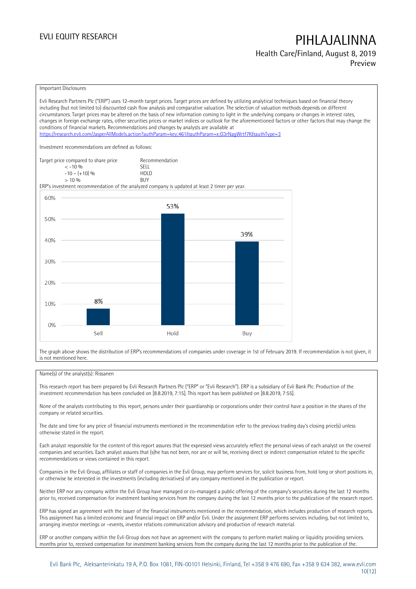## EVLI EQUITY RESEARCH **PIHLAJALINNA** Health Care/Finland, August 8, 2019

Preview

Important Disclosures

Evli Research Partners Plc ("ERP") uses 12-month target prices. Target prices are defined by utilizing analytical techniques based on financial theory including (but not limited to) discounted cash flow analysis and comparative valuation. The selection of valuation methods depends on different circumstances. Target prices may be altered on the basis of new information coming to light in the underlying company or changes in interest rates, changes in foreign exchange rates, other securities prices or market indices or outlook for the aforementioned factors or other factors that may change the conditions of financial markets. Recommendations and changes by analysts are available at <https://research.evli.com/JasperAllModels.action?authParam=key;461&authParam=x;G3rNagWrtf7K&authType=3> Investment recommendations are defined as follows: Target price compared to share price Recommendation<br>  $\leq -10\%$  $\langle 5, 10, 10 \rangle$  SELL<br> $\langle -10, 10, 10 \rangle$  SELL  $-10 - (+10) \%$  HOL<br>  $> 10 \%$  RIJY  $> 10 \frac{0}{0}$ ERP's investment recommendation of the analyzed company is updated at least 2 timer per year. 60% 53% 50% 39% 40% 30% 20% 8% 10%  $0%$ Sell Hold Buy

The graph above shows the distribution of ERP's recommendations of companies under coverage in 1st of February 2019. If recommendation is not given, it is not mentioned here.

## Name(s) of the analyst(s): Rissanen

This research report has been prepared by Evli Research Partners Plc ("ERP" or "Evli Research"). ERP is a subsidiary of Evli Bank Plc. Production of the investment recommendation has been concluded on [8.8.2019, 7:15]. This report has been published on [8.8.2019, 7:55].

None of the analysts contributing to this report, persons under their guardianship or corporations under their control have a position in the shares of the company or related securities.

The date and time for any price of financial instruments mentioned in the recommendation refer to the previous trading day's closing price(s) unless otherwise stated in the report.

Each analyst responsible for the content of this report assures that the expressed views accurately reflect the personal views of each analyst on the covered companies and securities. Each analyst assures that (s)he has not been, nor are or will be, receiving direct or indirect compensation related to the specific recommendations or views contained in this report.

Companies in the Evli Group, affiliates or staff of companies in the Evli Group, may perform services for, solicit business from, hold long or short positions in, or otherwise be interested in the investments (including derivatives) of any company mentioned in the publication or report.

Neither ERP nor any company within the Evli Group have managed or co-managed a public offering of the company's securities during the last 12 months prior to, received compensation for investment banking services from the company during the last 12 months prior to the publication of the research report.

ERP has signed an agreement with the issuer of the financial instruments mentioned in the recommendation, which includes production of research reports. This assignment has a limited economic and financial impact on ERP and/or Evli. Under the assignment ERP performs services including, but not limited to, arranging investor meetings or –events, investor relations communication advisory and production of research material.

ERP or another company within the Evli Group does not have an agreement with the company to perform market making or liquidity providing services. months prior to, received compensation for investment banking services from the company during the last 12 months prior to the publication of the.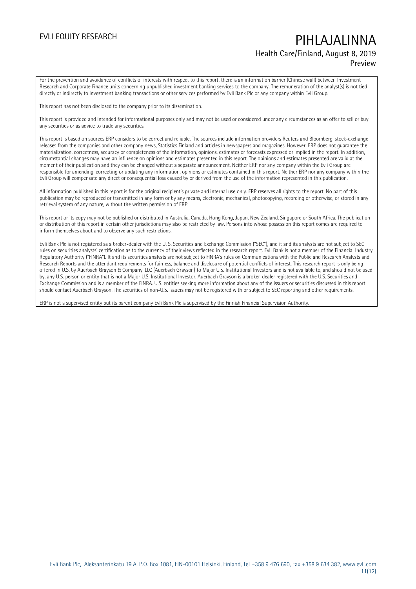## EVLI EQUITY RESEARCH **PIHLAJALINNA** Health Care/Finland, August 8, 2019

## Preview

For the prevention and avoidance of conflicts of interests with respect to this report, there is an information barrier (Chinese wall) between Investment Research and Corporate Finance units concerning unpublished investment banking services to the company. The remuneration of the analyst(s) is not tied directly or indirectly to investment banking transactions or other services performed by Evli Bank Plc or any company within Evli Group.

This report has not been disclosed to the company prior to its dissemination.

This report is provided and intended for informational purposes only and may not be used or considered under any circumstances as an offer to sell or buy any securities or as advice to trade any securities.

This report is based on sources ERP considers to be correct and reliable. The sources include information providers Reuters and Bloomberg, stock-exchange releases from the companies and other company news, Statistics Finland and articles in newspapers and magazines. However, ERP does not guarantee the materialization, correctness, accuracy or completeness of the information, opinions, estimates or forecasts expressed or implied in the report. In addition, circumstantial changes may have an influence on opinions and estimates presented in this report. The opinions and estimates presented are valid at the moment of their publication and they can be changed without a separate announcement. Neither ERP nor any company within the Evli Group are responsible for amending, correcting or updating any information, opinions or estimates contained in this report. Neither ERP nor any company within the Evli Group will compensate any direct or consequential loss caused by or derived from the use of the information represented in this publication.

All information published in this report is for the original recipient's private and internal use only. ERP reserves all rights to the report. No part of this publication may be reproduced or transmitted in any form or by any means, electronic, mechanical, photocopying, recording or otherwise, or stored in any retrieval system of any nature, without the written permission of ERP.

This report or its copy may not be published or distributed in Australia, Canada, Hong Kong, Japan, New Zealand, Singapore or South Africa. The publication or distribution of this report in certain other jurisdictions may also be restricted by law. Persons into whose possession this report comes are required to inform themselves about and to observe any such restrictions.

Evli Bank Plc is not registered as a broker-dealer with the U. S. Securities and Exchange Commission ("SEC"), and it and its analysts are not subject to SEC rules on securities analysts' certification as to the currency of their views reflected in the research report. Evli Bank is not a member of the Financial Industry Regulatory Authority ("FINRA"). It and its securities analysts are not subject to FINRA's rules on Communications with the Public and Research Analysts and Research Reports and the attendant requirements for fairness, balance and disclosure of potential conflicts of interest. This research report is only being offered in U.S. by Auerbach Grayson & Company, LLC (Auerbach Grayson) to Major U.S. Institutional Investors and is not available to, and should not be used by, any U.S. person or entity that is not a Major U.S. Institutional Investor. Auerbach Grayson is a broker-dealer registered with the U.S. Securities and Exchange Commission and is a member of the FINRA. U.S. entities seeking more information about any of the issuers or securities discussed in this report should contact Auerbach Grayson. The securities of non-U.S. issuers may not be registered with or subject to SEC reporting and other requirements.

ERP is not a supervised entity but its parent company Evli Bank Plc is supervised by the Finnish Financial Supervision Authority.